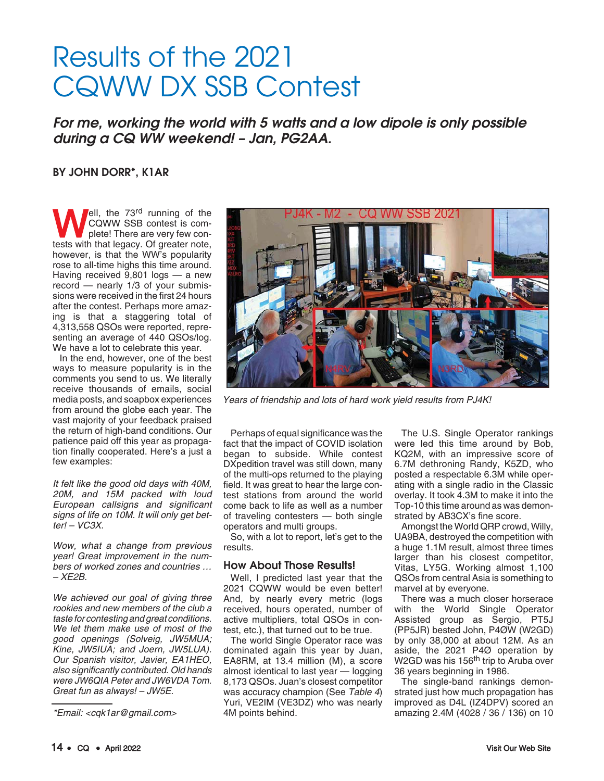# Results of the 2021 CQWW DX SSB Contest

For me, working the world with 5 watts and a low dipole is only possible during a CQ WW weekend! – Jan, PG2AA.

## BY JOHN DORR\*, K1AR

**Well, the 73rd running of the COWW SSB contest is complete! There are very few contests with that legacy. Of greater note** CQWW SSB contest is complete! There are very few contests with that legacy. Of greater note, however, is that the WW's popularity rose to all-time highs this time around. Having received 9,801 logs — a new record — nearly 1/3 of your submissions were received in the first 24 hours after the contest. Perhaps more amazing is that a staggering total of 4,313,558 QSOs were reported, representing an average of 440 QSOs/log. We have a lot to celebrate this year.

In the end, however, one of the best ways to measure popularity is in the comments you send to us. We literally receive thousands of emails, social media posts, and soapbox experiences from around the globe each year. The vast majority of your feedback praised the return of high-band conditions. Our patience paid off this year as propagation finally cooperated. Here's a just a few examples:

It felt like the good old days with 40M, 20M, and 15M packed with loud European callsigns and significant signs of life on 10M. It will only get better! – VC3X.

Wow, what a change from previous year! Great improvement in the numbers of worked zones and countries … – XE2B.

We achieved our goal of giving three rookies and new members of the club a taste for contesting and great conditions. We let them make use of most of the good openings (Solveig, JW5MUA; Kine, JW5IUA; and Joern, JW5LUA). Our Spanish visitor, Javier, EA1HEO, also significantly contributed. Old hands were JW6QIA Peter and JW6VDA Tom. Great fun as always! – JW5E.



Years of friendship and lots of hard work yield results from PJ4K!

Perhaps of equal significance was the fact that the impact of COVID isolation began to subside. While contest DXpedition travel was still down, many of the multi-ops returned to the playing field. It was great to hear the large contest stations from around the world come back to life as well as a number of traveling contesters — both single operators and multi groups.

So, with a lot to report, let's get to the results.

### How About Those Results!

Well, I predicted last year that the 2021 CQWW would be even better! And, by nearly every metric (logs received, hours operated, number of active multipliers, total QSOs in contest, etc.), that turned out to be true.

The world Single Operator race was dominated again this year by Juan, EA8RM, at 13.4 million (M), a score almost identical to last year — logging 8,173 QSOs. Juan's closest competitor was accuracy champion (See Table 4) Yuri, VE2IM (VE3DZ) who was nearly 4M points behind.

The U.S. Single Operator rankings were led this time around by Bob, KQ2M, with an impressive score of 6.7M dethroning Randy, K5ZD, who posted a respectable 6.3M while operating with a single radio in the Classic overlay. It took 4.3M to make it into the Top-10 this time around as was demonstrated by AB3CX's fine score.

Amongst the World QRP crowd, Willy, UA9BA, destroyed the competition with a huge 1.1M result, almost three times larger than his closest competitor, Vitas, LY5G. Working almost 1,100 QSOs from central Asia is something to marvel at by everyone.

There was a much closer horserace with the World Single Operator Assisted group as Sergio, PT5J (PP5JR) bested John, P4ØW (W2GD) by only 38,000 at about 12M. As an aside, the 2021 P4Ø operation by W2GD was his 156<sup>th</sup> trip to Aruba over 36 years beginning in 1986.

The single-band rankings demonstrated just how much propagation has improved as D4L (IZ4DPV) scored an amazing 2.4M (4028 / 36 / 136) on 10

<sup>\*</sup>Email: <cqk1ar@gmail.com>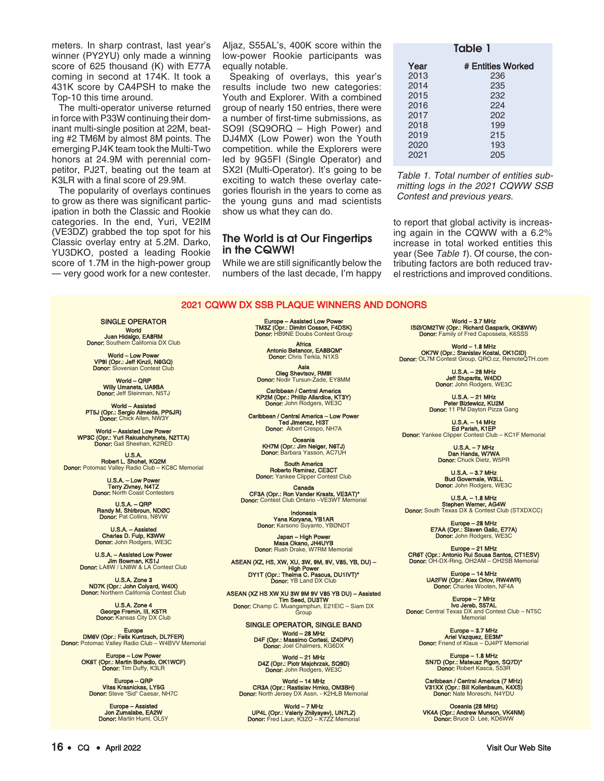meters. In sharp contrast, last year's winner (PY2YU) only made a winning score of 625 thousand (K) with E77A coming in second at 174K. It took a 431K score by CA4PSH to make the Top-10 this time around.

The multi-operator universe returned in force with P33W continuing their dominant multi-single position at 22M, beating #2 TM6M by almost 8M points. The emerging PJ4K team took the Multi-Two honors at 24.9M with perennial competitor, PJ2T, beating out the team at K3LR with a final score of 29.9M.

The popularity of overlays continues to grow as there was significant participation in both the Classic and Rookie categories. In the end, Yuri, VE2IM (VE3DZ) grabbed the top spot for his Classic overlay entry at 5.2M. Darko, YU3DKO, posted a leading Rookie score of 1.7M in the high-power group — very good work for a new contester.

Aljaz, S55AL's, 400K score within the low-power Rookie participants was equally notable.

Speaking of overlays, this year's results include two new categories: Youth and Explorer. With a combined group of nearly 150 entries, there were a number of first-time submissions, as SO9I (SQ9ORQ – High Power) and DJ4MX (Low Power) won the Youth competition. while the Explorers were led by 9G5FI (Single Operator) and SX2I (Multi-Operator). It's going to be exciting to watch these overlay categories flourish in the years to come as the young guns and mad scientists show us what they can do.

## The World is at Our Fingertips in the CQWW!

While we are still significantly below the numbers of the last decade, I'm happy

| Table 1 |                   |  |  |
|---------|-------------------|--|--|
| Year    | # Entities Worked |  |  |
| 2013    | 236               |  |  |
| 2014    | 235               |  |  |
| 2015    | 232               |  |  |
| 2016    | 224               |  |  |
| 2017    | 202               |  |  |
| 2018    | 199               |  |  |
| 2019    | 215               |  |  |
| 2020    | 193               |  |  |
| 2021    | 205               |  |  |
|         |                   |  |  |

Table 1. Total number of entities submitting logs in the 2021 CQWW SSB Contest and previous years.

to report that global activity is increasing again in the CQWW with a 6.2% increase in total worked entities this year (See Table 1). Of course, the contributing factors are both reduced travel restrictions and improved conditions.

#### 2021 CQWW DX SSB PLAQUE WINNERS AND DONORS

SINGLE OPERATOR World<br>Juan Hidalgo, EA8RM<br>Donor: Southern California DX Club

World – Low Power VP9I (Opr.: Jeff Kinzli, N6GQ) Donor: Slovenian Contest Club

World – QRP Willy Umanets, UA9BA<br>Donor: Jeff Steinman, N5TJ

**World – Assisted<br>PT5J (Opr.: Sergio Almeida, PP5JR)<br>Donor:** Chick Allen, NW3Y

World – Assisted Low Power WP3C (Opr.: Yuri Rakushchynets, N2TTA) Donor: Gail Sheehan, K2RED

U.S.A. Robert L. Shohet, KQ2M Donor: Potomac Valley Radio Club – KC8C Memorial

U.S.A. – Low Power Terry Zivney, N4TZ Donor: North Coast Contesters

U.S.A. – QRP Randy M. Shirbroun, NDØC Donor: Pat Collins, N8VW

U.S.A. – Assisted Charles D. Fulp, K3WW Donor: John Rodgers, WE3C

U.S.A. – Assisted Low Power Jim Bowman, KS1J Donor: LA8W / LN8W & LA Contest Club

U.S.A. Zone 3 ND7K (Opr.: John Colyard, W4IX) Donor: Northern California Contest Club

U.S.A. Zone 4 George Fremin, III, K5TR Donor: Kansas City DX Club

Europe<br>DM6V (Opr.: Felix Kuntzsch, DL7FER)<br>Donor: Potomac Valley Radio Club – W4BVV Memorial

Europe – Low Power<br>OK6T (Opr.: Martin Bohadlo, OK1WCF)<br>Donor: Tim Duffy, K3LR

Europe – QRP Vitas Krasnickas, LY5G Donor: Steve "Sid" Caesar, NH7C

Europe – As Jon Zumalabe, EA2W Donor: Martin Huml, OL5Y Europe – Assisted Low Power TM3Z (Opr.: Dimitri Cosson, F4DSK) Donor: HB9NE Doubs Contest Group

Africa Antonio Betancor, EA8BQM\* Donor: Chris Terkla, N1XS

**Asia<br>Oleg Shevtsov, RM9I<br>Donor:** Nodir Tursun-Zade, EY8MM

Caribbean / Central America KP2M (Opr.: Phillip Allardice, KT3Y) Donor: John Rodgers, WE3C

Caribbean / Central America – Low Power Ted Jimenez, HI3T Donor: Albert Crespo, NH7A

> Oceania KH7M (Opr.: Jim Neiger, N6TJ) Donor: Barbara Yasson, AC7UH

South America Roberto Ramirez, CE3CT<br>Donor: Yankee Clipper Contest Club

Canada CF3A (Opr.: Ron Vander Kraats, VE3AT)\* Donor: Contest Club Ontario –VE3WT Memorial

> Indonesia Yana Koryana, YB1AR Donor: Karsono Suyanto, YBØNDT

Japan – High Power Masa Okano, JH4UYB Donor: Rush Drake, W7RM Memorial

ASEAN (XZ, HS, XW, XU, 3W, 9M, 9V, V85, YB, DU) – High Power<br>DY1T (Opr.: Thelma C. Pascua, DU1IVT)\*<br>Donor: YB Land DX Club

ASEAN (XZ HS XW XU 3W 9M 9V V85 YB DU) – Assisted **Tim Seed, DU3TW<br>Donor:** Champ C. Muangamphun, E21EIC – Siam DX<br>Group

> SINGLE OPERATOR, SINGLE BAND World – 28 MHz D4F (Opr.: Massimo Cortesi, IZ4DPV) Donor: Joel Chalmers, KG6DX

World – 21 MHz D4Z (Opr.: Piotr Majchrzak, SQ9D)

Donor: John Rodgers, WE3C

World – 14 MHz CR3A (Opr.: Rastislav Hrnko, OM3BH) Donor: North Jersey DX Assn. - K2HLB Memorial

World – 7 MHz UP4L (Opr.: Valeriy Zhilyayev), UN7LZ) Donor: Fred Laun, K3ZO – K7ZZ Memorial

World – 3.7 MHz ISØ/OM2TW (Opr.: Richard Gasparik, OK8WW) Donor: Family of Fred Capossela, K6SSS

World – 1.8 MHz<br>OK7W (Opr.: Stanislav Kostal, OK1CID)<br>Donor: OL7M Contest Group, QRO.cz, RemoteQTH.com

U.S.A. – 28 MHz Jeff Stuparits, W4DD Donor: John Rodgers, WE3C

U.S.A. – 21 MHz Peter Bizlewicz, KU2M Donor: 11 PM Dayton Pizza Gang

U.S.A. – 14 MHz Ed Parish, K1EP Donor: Yankee Clipper Contest Club – KC1F Memorial

U.S.A. – 7 MHz Dan Handa, W7WA Donor: Chuck Dietz, W5PR

U.S.A. – 3.7 MHz Bud Governale, W3LL Donor: John Rodgers, WE3C

U.S.A. – 1.8 MHz **Stephen Werner, AG4W<br>Donor:** South Texas DX & Contest Club (STXDXCC)

Europe – 28 MHz E7AA (Opr.: Slaven Galic, E77A) Donor: John Rodgers, WE3C

Europe – 21 MHz<br>CR6T (Opr.: Antonio Rui Sousa Santos, CT1ESV)<br>Donor: OH-DX-Ring, OH2AM – OH2SB Memorial

Europe – 14 MHz UA2FW (Opr.: Alex Orlov, RW4WR) Donor: Charles Wooten, NF4A

Europe – 7 MHz Ivo Jereb, S57AL Donor: Central Texas DX and Contest Club – NT5C Memorial

Europe – 3.7 MHz Ariel Vazquez, EE3M\* Donor: Friend of Klaus – DJ4PT Memorial

Europe – 1.8 MHz SN7D (Opr.: Mateusz Pigon, SQ7D)\* Donor: Robert Kasca, S53R

Caribbean / Central America (7 MHz) V31XX (Opr.: Bill Kollenbaum, K4XS) Donor: Nate Moreschi, N4YDU

Oceania (28 MHz) VK4A (Opr.: Andrew Munson, VK4NM) Donor: Bruce D. Lee, KD6WW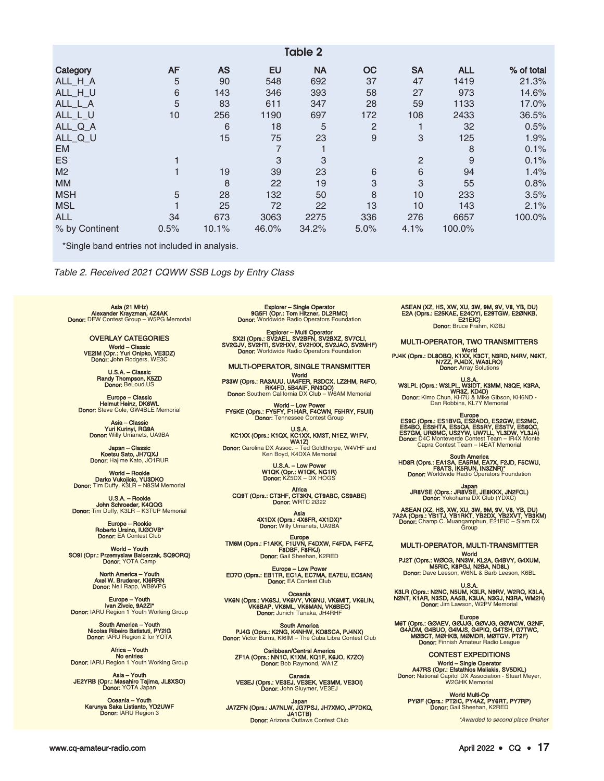| Table 2        |           |           |       |           |                |                |            |            |
|----------------|-----------|-----------|-------|-----------|----------------|----------------|------------|------------|
| Category       | <b>AF</b> | <b>AS</b> | EU    | <b>NA</b> | <b>OC</b>      | <b>SA</b>      | <b>ALL</b> | % of total |
| ALL_H_A        | 5         | 90        | 548   | 692       | 37             | 47             | 1419       | 21.3%      |
| ALL_H_U        | $\,6$     | 143       | 346   | 393       | 58             | 27             | 973        | 14.6%      |
| ALL_L_A        | 5         | 83        | 611   | 347       | 28             | 59             | 1133       | 17.0%      |
| ALL_L_U        | 10        | 256       | 1190  | 697       | 172            | 108            | 2433       | 36.5%      |
| ALL_Q_A        |           | 6         | 18    | 5         | $\overline{2}$ |                | 32         | 0.5%       |
| ALL_Q_U        |           | 15        | 75    | 23        | 9              | 3              | 125        | 1.9%       |
| <b>EM</b>      |           |           |       |           |                |                | 8          | 0.1%       |
| <b>ES</b>      |           |           | 3     | 3         |                | $\overline{2}$ | 9          | 0.1%       |
| M <sub>2</sub> |           | 19        | 39    | 23        | 6              | 6              | 94         | 1.4%       |
| <b>MM</b>      |           | 8         | 22    | 19        | 3              | 3              | 55         | 0.8%       |
| <b>MSH</b>     | 5         | 28        | 132   | 50        | 8              | 10             | 233        | 3.5%       |
| <b>MSL</b>     |           | 25        | 72    | 22        | 13             | 10             | 143        | 2.1%       |
| <b>ALL</b>     | 34        | 673       | 3063  | 2275      | 336            | 276            | 6657       | 100.0%     |
| % by Continent | 0.5%      | 10.1%     | 46.0% | 34.2%     | 5.0%           | 4.1%           | 100.0%     |            |

\*Single band entries not included in analysis.

Table 2. Received 2021 CQWW SSB Logs by Entry Class

A**sia (21 MHz)**<br>Ale**xander Krayzman, 4Z4AK<br>Donor:** DFW Contest Group – W5PG Memorial

OVERLAY CATEGORIES World – Classic<br>VE2IM (Opr.: Yuri Onipko, VE3DZ)<br>Donor: John Rodgers, WE3C

U.S.A. – Classic Randy Thompson, K5ZD Donor: BeLoud.US

Europe – Classic Helmut Heinz, DK6WL Donor: Steve Cole, GW4BLE Memorial

**Asia – Classic<br>Yuri Kurinyi, RG9A<br>Donor:** Willy Umanets, UA9BA

**Japan – Classic<br>Koetsu Sato, JH7QXJ<br>Donor:** Hajime Kato, JO1RUR

World – Rookie Darko Vukojicic, YU3DKO Donor: Tim Duffy, K3LR – N8SM Memorial

U.S.A. – Rookie **John Schroeder, K4QQG**<br>Donor: Tim Duffy, K3LR – K3TUP Memorial

> Europe – Rookie Roberto Ursino, IUØOVB\* Donor: EA Contest Club

World – Youth<br>SO9I (Opr.: Przemyslaw Balcerzak, SQ9ORQ)<br>Donor: YOTA Camp

North America – Youth Axel W. Bruderer, KI6RRN Donor: Neil Rapp, WB9VPG

Europe – Youth<br>Ivan Zivcic, 9A2ZI\*<br>Donor: IARU Region 1 Youth Working Group

South America – Youth Nicolas Ribeiro Batistuti, PY2IG Donor: IARU Region 2 for YOTA

Africa – Youth No entries Donor: IARU Region 1 Youth Working Group

Asia - Youth<br>JE2YRB (Opr.: Masahiro Tajima, JL8XSO)<br>Donor: YOTA Japan

Oceania – Youth Karunya Saka Listianto, YD2UWF Donor: IARU Region 3

Explorer – Single Operator<br>9G5FI (Opr.: Tom Hitzner, DL2RMC)<br>Donor: Worldwide Radio Operators Foundation

Explorer – Multi Operator<br>SX2I (Oprs.: SV2AEL, SV2BFN, SV2BXZ, SV7CLI,<br>SV2GJV, SV2HTI, SV2HXV, SV2HXX, SV2JAO, SV2MHF)<br>Donor: Worldwide Radio Operators Foundation

MULTI-OPERATOR, SINGLE TRANSMITTER World P33W (Oprs.: RA3AUU, UA4FER, R3DCX, LZ2HM, R4FO,

RK4FD, 5B4AIF, RN3QO) Donor: Southern California DX Club – W6AM Memorial

World – Low Power FY5KE (Oprs.: FY5FY, F1HAR, F4CWN, F5HRY, F5UII) **Donor:** Tennessee Contest Group

U.S.A.<br>KC1XX (Oprs.: K1QX, KO1XX, KM3T, N1EZ, W1FV,<br>Donor: Carolina DX Assoc. – Ted Goldthorpe, W4VHF and<br>Ken Boyd, K4DXA Memorial

U.S.A. – Low Power W1QK (Opr.: W1QK, NG1R) Donor: KZ5DX – DX HOGS

Africa<br>CQ9T (Oprs.: CT3HF, CT3KN, CT9ABC, CS9ABE)<br>Donor: WRTC 2022

Asia<br>4X1DX (Oprs.: 4X6FR, 4X1DX)\*<br>Donor: Willy Umanets, UA9BA

Europe<br>TM6M (Oprs.: F1AKK, F1UVN, F4DXW, F4FDA, F4FFZ,<br>Donor: Gail Sheehan, K2RED

Europe – Low Power<br>ED7O (Oprs.: EB1TR, EC1A, EC7MA, EA7EU, EC5AN)<br>Donor: EA Contest Club

Oceania<br>VK6N (Oprs.: VK6SJ, VK6VY, VK6NU, VK6MIT, VK6LIN,<br>VK6BAP, VK6ML, VK6MAN, VK6BEC)<br>Donor: Junichi Tanaka, JH4RHF

South America<br>PJ4G (Oprs.: K2NG, K4NHW, KO8SCA, PJ4NX)<br>Donor: Victor Burns, KI6IM – The Cuba Libra Contest Club

Caribbean/Central America<br>ZF1A (Oprs.: NN1C, K1XM, KQ1F, K6JO, K7ZO)<br>Donor: Bob Raymond, WA1Z

Canada<br>VE3EJ (Oprs.: VE3EJ, VE3EK, VE3MM, VE3OI)<br>Donor: John Sluymer, VE3EJ

Japan<br>JA7ZFN (Oprs.: JA7NLW, JG7PSJ, JH7XMO, JP7DKQ,<br>JA1CTB) Donor: Arizona Outlaws Contest Club

ASEAN (XZ, HS, XW, XU, 3W, 9M, 9V, V8, YB, DU) E2A (Oprs.: E25KAE, E24OYI, E29TGW, E2ØNKB, E21EIC) Donor: Bruce Frahm, KØBJ

MULTI-OPERATOR, TWO TRANSMITTERS

World World PJ4K (Oprs.: DL8OBQ, K1XX, K3CT, N3RD, N4RV, N6KT,<br>N7ZZ, PJ4DX, WA3LRO) **Donor:** Array Solutions

U.S.A.<br>W3LPL (Oprs.: W3LPL, W3IDT, K3MM, N3QE, K3RA,<br>Donor: Kimo Chun, KH7U & Mike Gibson, KH6ND -<br>Dan Robbins, KL7Y Memorial

ES9C (Oprs.: ES1BVG, ES2ADO, ES2GW, ES2MC,<br>ES4BO, ES5HTA, ES5QA, ES5RY, ES5TV, ES6QC,<br>ES7GM, URØMC, US2YW, UW7LL, YL3DW, YL3JA)<br>Donor: D4C Monteverde Contest Team – IR4X Monte

Capra Contest Team – I4EAT Memorial

South America<br>HD8R (Oprs.: EA1SA, EA5RM, EA7X, F2JD, F5CWU,<br>Donor: Worldwide Radio Operators Foundation

Japan<br>JR8VSE (Oprs.: JR8VSE, JE8KKX, JN2FCL)<br>Donor: Yokohama DX Club (YDXC)

ASEAN (XZ, HS, XW, XU, 3W, 9M, 9V, V8, YB, DU)<br>7A2A (Oprs.: YB1TJ, YB1RKT, YB2DX, YB2XVT, YB3KM)<br>Donor: Champ C. Muangamphun, E21EIC – Siam DX<br>Group

MULTI-OPERATOR, MULTI-TRANSMITTER

World<br>PJ2T (Oprs.: WØCG, NN3W, KL2A, G4BVY, G4XUM,<br>M5RIC, K8PGJ, N2BA, ND8L)<br>Donor: Dave Leeson, W6NL & Barb Leeson, K6BL

U.S.A.<br>K3LR (Oprs.: N2NC, N5UM, K3LR, N9RV, W2RQ, K3LA,<br>N2NT, K1AR, N3SD, AA5B, K3UA, N3GJ, N3RA, WM2H)<br>Donor: Jim Lawson, W2PV Memorial

Europe<br>M6T (Oprs.: GØAEV, GØJJJG, GØVJG, GØWCW, G2NF,<br>G4ADM, G4BUO, G4MJS, G4PIQ, G4TSH, G7TWC,<br>MØBCT, MØHKB, MØMDR, MØTGV, PT2F) Donor: Finnish Amateur Radio Lead

CONTEST EXPEDITIONS World – Single Operator A47RS (Opr.: Efstathios Maliakis, SV5DKL)

Donor: National Capitol DX Association - Stuart Meyer, W2GHK Memorial

World Multi-Op<br>PYØF (Oprs.: PT2IC, PY4AZ, PY6RT, PY7RP)<br>Donor: Gail Sheehan, K2RED

\*Awarded to second place finisher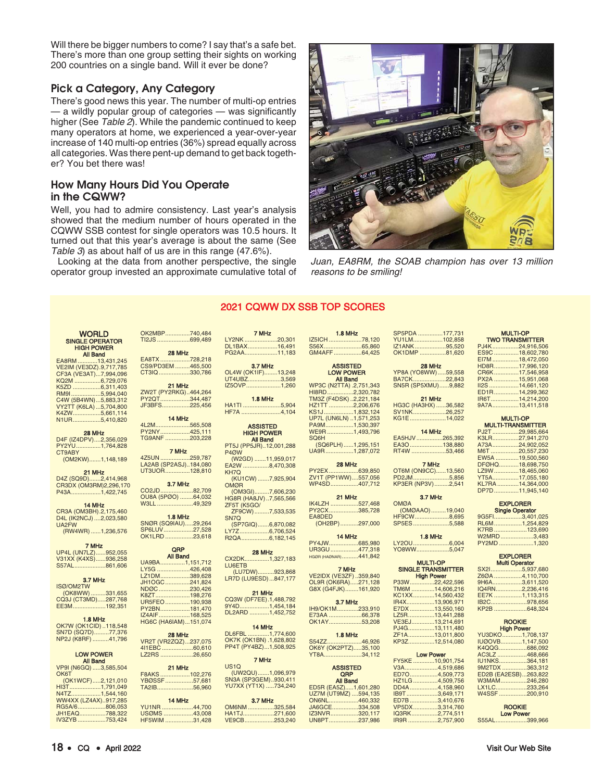Will there be bigger numbers to come? I say that's a safe bet. There's more than one group setting their sights on working 200 countries on a single band. Will it ever be done?

# Pick a Category, Any Category

There's good news this year. The number of multi-op entries — a wildly popular group of categories — was significantly higher (See Table 2). While the pandemic continued to keep many operators at home, we experienced a year-over-year increase of 140 multi-op entries (36%) spread equally across all categories. Was there pent-up demand to get back together? You bet there was!

# How Many Hours Did You Operate in the CQWW?

Well, you had to admire consistency. Last year's analysis showed that the medium number of hours operated in the CQWW SSB contest for single operators was 10.5 hours. It turned out that this year's average is about the same (See Table 3) as about half of us are in this range (47.6%).

Looking at the data from another perspective, the single operator group invested an approximate cumulative total of



Juan, EA8RM, the SOAB champion has over 13 million reasons to be smiling!

# 2021 CQWW DX SSB TOP SCORES

S56X.......

| <b>WORLD</b>                               | OK2MBP740,484                   |  |
|--------------------------------------------|---------------------------------|--|
|                                            | TI2JS699,489                    |  |
| <b>SINGLE OPERATOR</b>                     |                                 |  |
| <b>HIGH POWER</b>                          |                                 |  |
| <b>All Band</b>                            | 28 MHz                          |  |
| EA8RM 13,431,245                           | EA8TX728,218                    |  |
| VE2IM (VE3DZ).9,717,785                    | CS9/PD3EM 465,500               |  |
| CF3A (VE3AT)7,994,096                      | CT3IQ330,786                    |  |
| KQ2M 6,729,076                             |                                 |  |
| K5ZD 6,311,403                             | 21 MHz                          |  |
| RM9I5,994,040                              | ZW2T (PY2RKG)464,264            |  |
| C4W (5B4WN)5,883,312                       | PY2QT344,487                    |  |
| VY2TT (K6LA)  5,704,800                    | JF3BFS225,456                   |  |
| K4ZW5,661,114                              |                                 |  |
| N1UR5,410,820                              | 14 MHz                          |  |
|                                            | 4L2M565,508                     |  |
| 28 MHz                                     | PY2NY425,111                    |  |
| D4F (IZ4DPV)2,356,029                      | TG9ANF 203,228                  |  |
| PY2YU1,764,828                             |                                 |  |
| CT9ABY                                     | 7 MHz                           |  |
| (OM2KW)1,148,189                           | 4Z5UN 259,787                   |  |
|                                            | LA2AB (SP2ASJ)184,080           |  |
| 21 MHz                                     | UT3UOR128,810                   |  |
| D4Z (SQ9D)2,414,968                        |                                 |  |
|                                            | <b>3.7 MHz</b>                  |  |
| CR3DX (OM3RM)2,296,170                     | CO2JD82,709                     |  |
| P43A1,422,745                              | OU8A (5PØO) 64,032              |  |
|                                            |                                 |  |
| 14 MHz                                     | W3LL 49,329                     |  |
| CR3A (OM3BH).2,175,460                     |                                 |  |
| D4L (IK2NCJ) 2,023,580                     | <b>1.8 MHz</b>                  |  |
| UA2FW                                      | SNØR (SQ9IAU)29,264             |  |
| (RW4WR) 1,236,576                          | SP6LUV27,528                    |  |
|                                            | OK1LRD 23,618                   |  |
| 7 MHz                                      |                                 |  |
| UP4L (UN7LZ)952,055<br>V31XX (K4XS)936,258 | QRP                             |  |
|                                            | <b>All Band</b>                 |  |
| S57AL861,606                               | UA9BA1,151,712                  |  |
|                                            | LY5G 426,408                    |  |
|                                            | LZ1DM389,628                    |  |
| 3.7 MHz<br>ISØ/OM2TW                       | JH1OGC241,824                   |  |
|                                            | NDØC 230,426                    |  |
| (OK8WW) 331,655                            |                                 |  |
| CQ3J (CT3MD)287,768                        | K8ZT198,276                     |  |
|                                            | UR5FEO190,938                   |  |
| EE3M192,351                                | PY2BN181,470                    |  |
|                                            |                                 |  |
| <b>1.8 MHz</b>                             | IZ4AIF168,525                   |  |
| OK7W (OK1CID)118,548                       | HG6C (HA6IAM)151,074            |  |
| SN7D (SQ7D)77,376                          |                                 |  |
| NP2J (K8RF) 41,796                         | 28 MHz                          |  |
|                                            | VR2T (VR2ZQZ)237,075            |  |
|                                            | 411EBC60,610                    |  |
| <b>LOW POWER</b>                           | LZ2RS 26,650                    |  |
| <b>All Band</b>                            |                                 |  |
| VP9I (N6GQ) 3,585,504                      | 21 MHz                          |  |
| OK6T                                       | F8AKS102,276                    |  |
| (OK1WCF)2,121,010                          | YBØSSF57,681                    |  |
| HI3T1,791,049                              | TA2IB56,960                     |  |
| N4TZ1,544,160                              |                                 |  |
| WW4XX (LZ4AX)917,285                       | 14 MHz                          |  |
| RG5A/6806,053                              | YU1NR 44,700                    |  |
| JH1EAQ788,322<br>IV37VR 753 424            | USØMS 43,008<br>$HFSMMM$ 31 128 |  |

28 MHz EA8TX ..................728,218 PD3EM .........465,500<br>IQ ...................330,786 CT3IQ...................330,786 21 MHz ZW2T (PY2RKG)..464,264 PY2QT..................344,487 JF3BFS.................225,456 **14 MHz**<br>4L2M........................565,508<br>PY2NY....................425,111 TG9ANF ...............203,228 **7 MHz**<br>4Z5UN ....................259,787 LA2AB (SP2ASJ)..184,080 UOR...............128,810 3.7 MHz کا اللہ ہیں۔<br>22,709....................82 A (5PØO) ........64,032 49.329 1.8 MHz SNØR (SQ9IAU).....29,264 SP6LUV..................27,528 <u>0∟0, 23,618.</u><br>23,618...................23 QRP All Band سمة بن 1,151,712.<br>BA.................1,151,712 З ....................<sup>.</sup>426,408<br>ЭМ……………..389,628 LY2NK ....................20,301 DL<sub>1</sub>BAY....

#### DM..................389,628<br>241 824 241 824...<br>230,426... NDØC...................230,426 K8ZT.....................198,276 UR5FEO...............190,938 PY2BN..................181,470 ..168,525 C (HA6IAM)...151,074

#### 4I1EBC ...................60,610 26.650 21 MHz

F8AKS ..................102,276 ا<sup>9</sup>SSF.................57,<sup>681</sup><br>8........................56.960 TA2IB......................56,960

#### 14 MHz

YU1NR ...................44,700 43,008................<br>31,428................. HF5WIM

| PG2AA11.183            |
|------------------------|
| 3.7 MHz                |
| OL4W (OK1IF)13,248     |
| UT4UBZ3,569            |
| IZ5OVP1,260            |
| <b>1.8 MHz</b>         |
| HA1TI 5,904            |
| HF7A 4,104             |
|                        |
| <b>ASSISTED</b>        |
| <b>HIGH POWER</b>      |
| <b>All Band</b>        |
| PT5J (PP5JR)12,001,288 |
| P <sub>4</sub> ØW      |
| (W2GD) 11,959,017      |
| EA2W 8,470,308         |
| KH7Q                   |
| (KU1CW) 7,925,904      |
| <b>OMØR</b>            |
| (OM3GI)7,606,230       |
| HG8R (HA8JV)7,565,566  |
| <b>ZF5T (K5GO/</b>     |
| ZF9CW)7,533,535        |
| SN7Q                   |
| (SP7GIQ)6,870,082      |
| LY7Z6,706,524          |
| R2QA6,182,145          |

7 MHz

#### 28 MHz

CX2DK...............1,327,183 LU6ETB (LU7DW)..........923,868 LR7D (LU9ESD)...847,177

21 MHz CQ3W (DF7EE).1,488,792 9Y4D..................1,454,184 DL2ARD ............1,452,752

14 MHz DL6FBL .............1,774,600 OK7K (OK1BN) .1,628,802 PP4T (PY4BZ)...1,508,925

#### 7 MHz US1Q (UW2QU).......1,096,979 SN3A (SP3GEM)..930,411 YU7XX (YT1X) .....734,240

#### 3.7 MHz OM6NM ................325,584 HA1TJ...................271,600  $.253.240$

| GM4AFF64,425                                           |
|--------------------------------------------------------|
| <b>ASSISTED</b><br><b>LOW POWER</b><br><b>All Band</b> |
| WP3C (N2TTA) .2,751,343                                |
| HI8RD2,320,782                                         |
| TM3Z (F4DSK)2,221,184                                  |
| HZ1TT 2,206,676                                        |
| KS1J1,832,124                                          |
| UP7L (UN6LN) 1,571,253                                 |
| PA9M1,530,397                                          |
| WE9R 1,493,796                                         |
| SO <sub>6</sub> H                                      |
| (SQ6PLH)1,295,151                                      |
| UA9R1,287,072                                          |
|                                                        |

1.8 MHz IZ5ICH ....................78,120

28 MHz<br>................639,850 PY2EX..................639,850 ZV1T (PP1WW)....557,056 WP4SD.................407,712

21 MHz IK4LZH .....................527,468<br>PY2CX .....................385,728 PY2CX..................385,728 EA8DED (OH2BP)...........297,000

#### 14 MHz PY4JW..................685,980 UR3GU..... HGØR (HAØNAR)..........441,842

# 7 MHz VE2IDX (VE3ZF) ..359,840 OL9R (OK6RA).....271,128 G8X (G4FJK)........161,920

3.7 MHz IH9/OK1M.............233,910 E73AA ....................66,378 OK1AY..................

**1.8 MHz**<br>S54ZZ.......................46,926 OK6Y (OK2PTZ).....35,100<br>YT8A 34 112 34 112

#### ASSISTED QRP All Band ED5R (EA5Z).....1,601,280 UZ7M (UT9MZ) ....594,135<br>ON6NL.................460.332 ON6NL..................460,332 JA6GCE................334,508 **IZ3NVR..............**<br>UN8PT................ UN8PT..................237,986

SP5PDA ...............177,731 YU1LM..................102,858 IZ1ANK...................95,520 OK1DMP 28 MHz YP8A (YO8WW).....59,558<br>BA7CK......................22,843 BA7CK....................22,843 SN5R (SP5XMU)......9,882

21 MHz HG3C (HA3HX) ......36,582 SV1NK...........................26,257<br>KG1E.......................14,022 KG1E......................14,022

| 14 MHz        |  |
|---------------|--|
| EA5HJV265.392 |  |
| EA3O 138.880  |  |
| RT4W 53.466   |  |

7 MHz OT6M (ON9CC)......13,560<br>PD2JM...........................5.856 PD2JM......................5,856 KP3ER (NP3V).........2,541

#### 3.7 MHz

OMØA (OMØAAO).........19,040 HF9CW.............<br>SP5ES.............. ................5,588

**1.8 MHz**<br>0,004............................6 YO8WW....................5,047

# MULTI-OP<br>SINGLE TRANSMITTER **High Power**<br>22,422,596.................22

| TM6M 14,606,216 |
|-----------------|
| KC1XX14,560,432 |
| IR4X13,906,971  |
| E7DX 13,550,160 |
| LZ5R13,441,288  |
| VE3EJ13,214,691 |
| PJ4G13,111,480  |
| ZF1A13.011.800  |
| KP3Z12.514.080  |
|                 |

#### Low Power

|  | FY5KE 10,901,754 |
|--|------------------|
|  | V3A4.519.686     |
|  | ED704,509,773    |
|  | HZ1LG4,509,756   |
|  | DD4A4,158,960    |
|  | IB9T3,649,171    |
|  | ED7B3,410,676    |
|  | VP5DX3.314.760   |
|  | IQ3RK2,774,511   |
|  | IR9R 2,757,900   |
|  |                  |

| MULIPUF                |  |  |  |
|------------------------|--|--|--|
| <b>TWO TRANSMITTER</b> |  |  |  |
| PJ4K24,916,506         |  |  |  |
| ES9C 18,602,780        |  |  |  |
| EI7M 18,472,050        |  |  |  |
| HD8R17,996,120         |  |  |  |
| CR6K17,546,958         |  |  |  |
| PX2A 15,951.068        |  |  |  |
| II2S 14.661.120        |  |  |  |
| ED1R14.299.362         |  |  |  |
| IR6T14,214,200         |  |  |  |
| 9A7A13,411.518         |  |  |  |
|                        |  |  |  |
|                        |  |  |  |

MULTI-OP

EI7<br>HD

 $C<sub>F</sub>$ 

#### MULTI-OP MULTI-TRANSMITTER PJ2T .................29,985,664<br>K3LR.................27,941,270 K3LR................27,941,270 A73A........................24,902,052<br>M6T...................20.557.230 M6T .................20,557,230<br>EW5A ..............19.500.560 EW5A ..............19,500,560 DFØHQ............18,698,750<br>LZ9W...............18,465,060 LZ9W...............18,465,060<br>YT5A..................17,055,180 17,055,180.<br>14,364,000. KL7RA .............<br>DP7D ................

| <b>EXPLORER</b><br><b>Single Operator</b> |  |  |
|-------------------------------------------|--|--|
| 9G5Fl3.401.025                            |  |  |
| RL6M1.254.829                             |  |  |
| K7RB 123.690                              |  |  |
| W2MRD3.483                                |  |  |
| PY2MD 1.320                               |  |  |

 $...11.945.140$ 

#### EXPLORER Multi Operator

| SX215.937.680  |  |
|----------------|--|
| Z6ØA 4,110,700 |  |
| 9H6A3,611,520  |  |
| IQ4RN2.236.416 |  |
| EE7K 1.113.315 |  |
| IB2C978.656    |  |
|                |  |
|                |  |

#### **ROOKIE** High Po

| YU3DKO1,708,137      |  |
|----------------------|--|
| IUØOVB1,147,500      |  |
| K4QQG686,092         |  |
| AC3LZ 468.666        |  |
| IU1NKS364.181        |  |
| 9M2TDX 363.312       |  |
| ED2B (EA2ESB)263,822 |  |
| W3MAM246.280         |  |
| LX1LC233.264         |  |
| W4SSF200.910         |  |
|                      |  |

ROOKIE Low Power S55AL...................399,966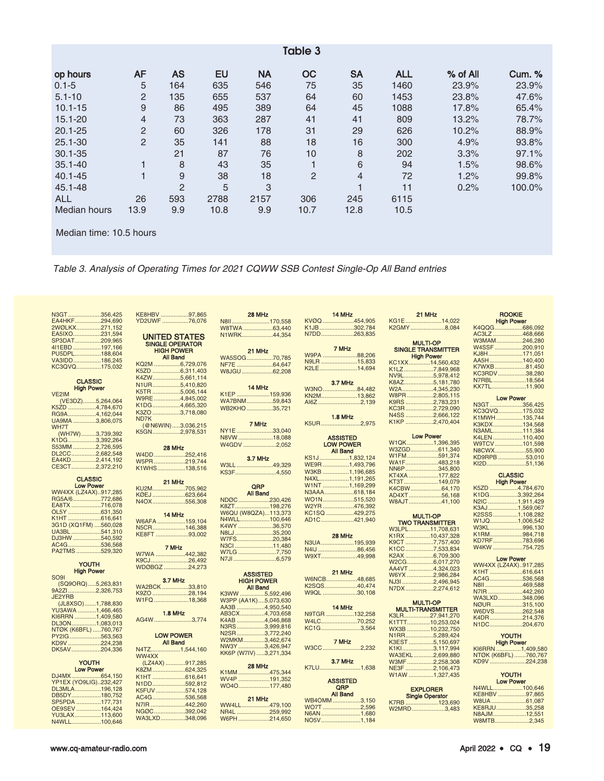| Table 3             |                |                |      |           |                |                |            |            |               |
|---------------------|----------------|----------------|------|-----------|----------------|----------------|------------|------------|---------------|
| op hours            | AF             | <b>AS</b>      | EU   | <b>NA</b> | <b>OC</b>      | <b>SA</b>      | <b>ALL</b> | $%$ of All | <b>Cum. %</b> |
| $0.1 - 5$           | 5              | 164            | 635  | 546       | 75             | 35             | 1460       | 23.9%      | 23.9%         |
| $5.1 - 10$          | 2              | 135            | 655  | 537       | 64             | 60             | 1453       | 23.8%      | 47.6%         |
| $10.1 - 15$         | 9              | 86             | 495  | 389       | 64             | 45             | 1088       | 17.8%      | 65.4%         |
| $15.1 - 20$         | $\overline{4}$ | 73             | 363  | 287       | 41             | 41             | 809        | 13.2%      | 78.7%         |
| $20.1 - 25$         | $\overline{2}$ | 60             | 326  | 178       | 31             | 29             | 626        | 10.2%      | 88.9%         |
| $25.1 - 30$         | $\overline{2}$ | 35             | 141  | 88        | 18             | 16             | 300        | 4.9%       | 93.8%         |
| $30.1 - 35$         |                | 21             | 87   | 76        | 10             | 8              | 202        | 3.3%       | 97.1%         |
| $35.1 - 40$         |                | 8              | 43   | 35        |                | $\,6$          | 94         | 1.5%       | 98.6%         |
| $40.1 - 45$         |                | 9              | 38   | 18        | $\overline{2}$ | $\overline{4}$ | 72         | 1.2%       | 99.8%         |
| 45.1-48             |                | $\overline{2}$ | 5    | 3         |                | 4              | 11         | 0.2%       | 100.0%        |
| <b>ALL</b>          | 26             | 593            | 2788 | 2157      | 306            | 245            | 6115       |            |               |
| <b>Median hours</b> | 13.9           | 9.9            | 10.8 | 9.9       | 10.7           | 12.8           | 10.5       |            |               |
|                     |                |                |      |           |                |                |            |            |               |

Median time: 10.5 hours

Table 3. Analysis of Operating Times for 2021 CQWW SSB Contest Single-Op All Band entries

| N3GT356,425<br>EA4HKF294,690          | KE8HBV 97,865<br>YD2UWF 76.076 | 28 MHz<br>N8II170,558                   | 14 MHz<br>KVØQ 454,905              | 21 MHz<br>KG1E14,022            | <b>ROOKIE</b><br><b>High Power</b> |
|---------------------------------------|--------------------------------|-----------------------------------------|-------------------------------------|---------------------------------|------------------------------------|
| 2WØLKX271,152                         |                                | W8TWA 63,440                            | K1JB302,784                         | K2GMY8,084                      | K4QQG686,092                       |
| EA5IXO231,594                         | <b>UNITED STATES</b>           | N1WRK44,354                             | N7DD263,835                         |                                 | AC3LZ 468,666                      |
| SP3DAT209,965                         | <b>SINGLE OPERATOR</b>         |                                         |                                     | <b>MULTI-OP</b>                 | W3MAM246,280                       |
| 4I1EBD 197,166                        | <b>HIGH POWER</b>              |                                         | 7 MHz                               | <b>SINGLE TRANSMITTER</b>       | W4SSF 200,910                      |
| PU5DPL188,604                         | <b>All Band</b>                | 21 MHz<br>WA5SOG70,785                  | W9PA 88.206                         | <b>High Power</b>               | KJ8H171,051                        |
| VA3IDD186,245                         | KQ2M 6,729,076                 | NF7E 64,647                             | N9LR 15,833                         | KC1XX14,560,432                 | AA5H140,400                        |
| KC3QVQ175,032                         | K5ZD 6,311,403                 | W8JGU 62,208                            | K2LE14,694                          | K1LZ7,849,968                   | K7WXB81,450                        |
|                                       | K4ZW5,661,114                  |                                         |                                     | NV9L5,978,412                   | KC3RDV38,280                       |
| <b>CLASSIC</b>                        | N1UR5,410,820                  |                                         | 3.7 MHz                             | K8AZ5,181,780                   | N7RBL18,564<br>KX7TL11,900         |
| <b>High Power</b>                     | K5TR 5,006,144                 | 14 MHz                                  | W3NO84,482                          | W2A4,345,230                    |                                    |
| VE2IM<br>(VE3DZ)5,264,064             | W9RE 4,845,002                 | K1EP 159,936<br>WA7BNM59,843            | KN2M13,862                          | W8PR2,805,115                   | <b>Low Power</b>                   |
| K5ZD 4,784,670                        | K1DG4,665,320                  | WB2KHO35,721                            | AI6Z2,139                           | K9RS 2,783,231                  | N3GT356,425                        |
| RG9A4,162,044                         | K3ZO 3,718,080                 |                                         |                                     | KC3R2,729,090<br>N4SS 2,666,122 | KC3QVQ175,032                      |
| UA9MA 3,806,075                       | ND7K                           |                                         | <b>1.8 MHz</b>                      | K1KP 2,470,404                  | K1MWH135,744                       |
| WH7T                                  | (@N6WIN)3,036,215              | 7 MHz                                   | K5UR2,975                           |                                 | K3KDX134,568                       |
| (WH7W)3,739,392                       | K5GN2,978,531                  | NY1E 33,040                             |                                     | <b>Low Power</b>                | N3AML111,384                       |
| K1DG3,392,264                         |                                | N8VW 18.088                             | <b>ASSISTED</b><br><b>LOW POWER</b> | W1QK1,396,395                   | K4LEN 110,400<br>W9TCV101,598      |
| S53MM 2,726,595                       | 28 MHz                         | W4GDV 2,052                             | <b>All Band</b>                     | W3ZGD611,340                    | N8CWX55,900                        |
| DL2CC2,682,548                        | W4DD 252,416                   | 3.7 MHz                                 | KS1J1,832,124                       | W1FM591,374                     | KD9RPB 53,010                      |
| EA4KD2,414,192                        | W5PR219,744                    | W3LL 49,329                             | WE9R 1,493,796                      | WA1F483,218                     | KI2D51,136                         |
| CE3CT2,372,210                        | K1WHS138,516                   | KS3F4,550                               | W3KB 1,196,685                      | NN6P345,800                     |                                    |
| <b>CLASSIC</b>                        |                                |                                         | N4XL1,191,265                       | KT4XA 177,822                   | <b>CLASSIC</b>                     |
| <b>Low Power</b>                      | 21 MHz                         | QRP                                     | W1NT 1,169,299                      | KT3T149,079                     | <b>High Power</b>                  |
| WW4XX (LZ4AX)917,285                  | KU2M705,962                    | All Band                                | N3AAA618,184                        | K4CBW64,170                     | K5ZD 4,784,670                     |
| RG5A/6772,686                         | KØEJ 623,664<br>N4OX556,308    | NDØC 230,426                            | WO1N515,520                         | AD4XT56,168                     | K1DG3,392,264<br>N2IC 1,911,429    |
| EA8TX 716,078                         |                                | K8ZT198,276                             | W2YR476,392                         | W8AJT41,100                     | K3AJ1,569,067                      |
| OL5Y 631,350                          | 14 MHz                         | W6QU (W8QZA)113,373                     | KC1SQ 429,275                       | <b>MULTI-OP</b>                 | K2SSS1,108,282                     |
| K1HT 616,641                          | W6AFA159,104                   | N4WLL100,646                            | AD1C421,940                         | <b>TWO TRANSMITTER</b>          | W1JQ1,006,542                      |
| 3G1D (XQ1FM) 560,028                  | N5CR146,388                    | K4WY 36,570                             |                                     | W3LPL11.708.631                 | W3KL996,130                        |
| UA3BL 541,310                         | KE8FT 93,002                   | N8LJ 35,200                             | 28 MHz                              | K1RX 10,437,328                 | K1RM984,718                        |
| DJ3HW 540,592<br>AC4G536,568          |                                | W7FS20,384                              | N3UA195,939                         | K9CT 7,757,400                  | KD7RF783,696                       |
| PA2TMS 529,320                        | 7 MHz                          | N3CI 11,480                             | N4IJ 86,456                         | K1CC7,533,834                   | W4KW 754,725                       |
|                                       | W7WA 442,382                   | W7LG 7,750<br>N7JI 6,579                | W9XT49,998                          | K2AX 6,709,300                  | <b>Low Power</b>                   |
| <b>YOUTH</b>                          | K9CJ26,492                     |                                         |                                     | W2CG6,017,270                   | WW4XX (LZ4AX)917,285               |
| <b>High Power</b>                     | WDØBGZ 24,273                  | <b>ASSISTED</b>                         | 21 MHz                              | AA4VT 4,324,023                 | K1HT 616,641                       |
| SO <sub>91</sub>                      | <b>3.7 MHz</b>                 | <b>HIGH POWER</b>                       | W6NCB48,685                         | W6YX 2,986,284                  | AC4G536,568                        |
| (SQ9ORQ)5,263,831                     | WA2BCK 33,810                  | <b>All Band</b>                         | K2SQS40,474                         | NJ3I 2,496,945                  | N8II469,588                        |
| 9A2ZI2,326,753                        | K9ZO 28,194                    | K3WW 5,592,496                          | W9QL 30,108                         | N7DX2,274,612                   | N7IR 442,260                       |
| JE2YRB                                | W1FQ 18,368                    | W3PP (AA1K)5,073,630                    |                                     | <b>MULTI-OP</b>                 | WA3LXD348,096                      |
| (JL8XSO)1,788,830<br>YU3AWA 1,466,465 |                                | AA3B 4,950,540                          | 14 MHz                              | <b>MULTI-TRANSMITTER</b>        | NØUR315,100                        |
| KI6RRN 1,409,580                      | <b>1.8 MHz</b>                 | AB3CX4,703,658                          | N9TGR 132,258                       | K3LR27,941,270                  | W6DVS262,548                       |
| DL3ON1,083,013                        | AG4W 3,774                     | K4AB 4,046,868                          | W4LC70,252                          | K1TTT10,253,024                 | K4DR214,376<br>N1DC204,670         |
| NTØK (K6BFL) 760,767                  |                                | N3RS3,999,816                           | KC1G3,564                           | WX3B 10,232,750                 |                                    |
| PY2IG563,563                          | <b>LOW POWER</b>               | N2SR3,772,240                           |                                     | N1RR5,289,424                   | <b>YOUTH</b>                       |
| KD9V 224,238                          | <b>All Band</b>                | W2MKM3,462,674                          | 7 MHz                               | K3EST 5,150,697                 | <b>High Power</b>                  |
| DK5AV204,336                          | N4TZ1,544,160                  | NW3Y 3,426,947<br>KK6P (W7IV) 3,271,334 | W3CC2,232                           | K1Kl3,117,994                   | KI6RRN 1,409,580                   |
|                                       | WW4XX                          |                                         | 3.7 MHz                             | WA3EKL2,699,880                 | NTØK (K6BFL) 760,767               |
| <b>YOUTH</b>                          | (LZ4AX) 917,285                | 28 MHz                                  | K7LU1,638                           | W3MF2,258,308<br>NE3F 2,106,473 | KD9V 224,238                       |
| <b>Low Power</b>                      | K8ZM624,325                    | K1MM 475.344                            |                                     | W1AW 1,327,435                  | YOUTH                              |
| DJ4MX654,150<br>YP1EX (YO9LIG)232,427 | K1HT616,641                    | WV4P 191,352                            | <b>ASSISTED</b>                     |                                 | <b>Low Power</b>                   |
| DL3MLA196,128                         | N1DD592,812                    | WO4O177,480                             | QRP                                 | <b>EXPLORER</b>                 | N4WLL100.646                       |
| DB5DY180,752                          | K5FUV574,128<br>AC4G536,568    |                                         | <b>All Band</b>                     | <b>Single Operator</b>          | KE8HBV 97,865                      |
| SP5PDA 177,731                        | N7IR 442,260                   | 21 MHz                                  | WB4OMM3.150                         | K7RB 123,690                    | W8UA 61,087                        |
| OE9SEV 164,424                        | NGØC392,042                    | WW4LL479,100<br>NR4L 259,992            | WO7T 2.596                          | W2MRD3,483                      | KE8RJU35.258                       |
| YU3LAX113,600                         | WA3LXD348,096                  | W6PH214,650                             | N6AN1,680                           |                                 | N8AJM12,551                        |
| N4WLL100,646                          |                                |                                         | NO5V1,184                           |                                 | W8MTB2,345                         |
|                                       |                                |                                         |                                     |                                 |                                    |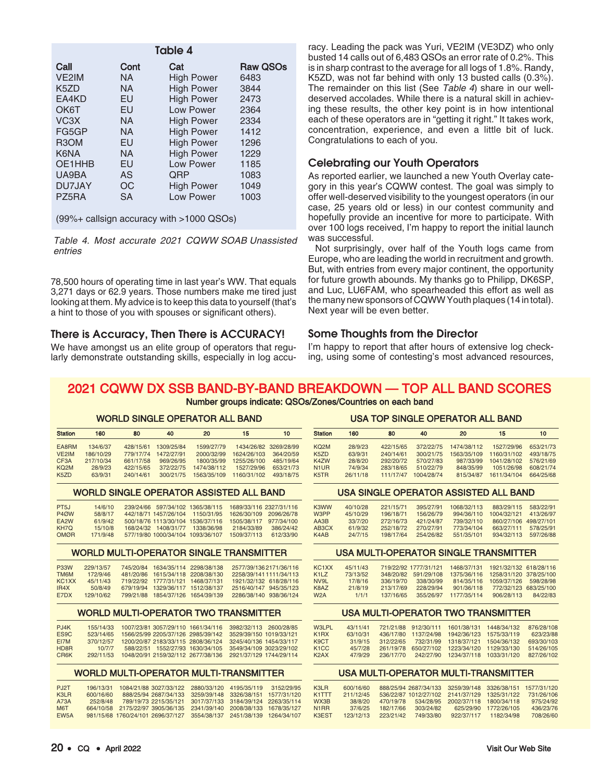| Table 4           |      |                   |                 |  |  |  |  |
|-------------------|------|-------------------|-----------------|--|--|--|--|
| Call              | Cont | Cat               | <b>Raw QSOs</b> |  |  |  |  |
| VE2IM             | NA.  | <b>High Power</b> | 6483            |  |  |  |  |
| K <sub>5</sub> ZD | NA.  | <b>High Power</b> | 3844            |  |  |  |  |
| EA4KD             | EU   | <b>High Power</b> | 2473            |  |  |  |  |
| OK6T              | EU   | Low Power         | 2364            |  |  |  |  |
| VC <sub>3</sub> X | NA.  | <b>High Power</b> | 2334            |  |  |  |  |
| FG5GP             | NA.  | <b>High Power</b> | 1412            |  |  |  |  |
| R <sub>3</sub> OM | EU   | <b>High Power</b> | 1296            |  |  |  |  |
| K6NA              | NA.  | <b>High Power</b> | 1229            |  |  |  |  |
| OE1HHB            | EU   | Low Power         | 1185            |  |  |  |  |
| UA9BA             | AS   | QRP               | 1083            |  |  |  |  |
| DU7JAY            | ОC   | <b>High Power</b> | 1049            |  |  |  |  |
| PZ5RA             | SA   | Low Power         | 1003            |  |  |  |  |

(99%+ callsign accuracy with >1000 QSOs)

Table 4. Most accurate 2021 CQWW SOAB Unassisted entries

78,500 hours of operating time in last year's WW. That equals 3,271 days or 62.9 years. Those numbers make me tired just looking at them. My advice is to keep this data to yourself (that's a hint to those of you with spouses or significant others).

# There is Accuracy, Then There is ACCURACY!

We have amongst us an elite group of operators that regularly demonstrate outstanding skills, especially in log accuracy. Leading the pack was Yuri, VE2IM (VE3DZ) who only busted 14 calls out of 6,483 QSOs an error rate of 0.2%. This is in sharp contrast to the average for all logs of 1.8%. Randy, K5ZD, was not far behind with only 13 busted calls (0.3%). The remainder on this list (See Table 4) share in our welldeserved accolades. While there is a natural skill in achieving these results, the other key point is in how intentional each of these operators are in "getting it right." It takes work, concentration, experience, and even a little bit of luck. Congratulations to each of you.

# Celebrating our Youth Operators

As reported earlier, we launched a new Youth Overlay category in this year's CQWW contest. The goal was simply to offer well-deserved visibility to the youngest operators (in our case, 25 years old or less) in our contest community and hopefully provide an incentive for more to participate. With over 100 logs received, I'm happy to report the initial launch was successful.

Not surprisingly, over half of the Youth logs came from Europe, who are leading the world in recruitment and growth. But, with entries from every major continent, the opportunity for future growth abounds. My thanks go to Philipp, DK6SP, and Luc, LU6FAM, who spearheaded this effort as well as the many new sponsors of CQWW Youth plaques (14 in total). Next year will be even better.

# Some Thoughts from the Director

I'm happy to report that after hours of extensive log checking, using some of contesting's most advanced resources,

# 2021 CQWW DX SSB BAND-BY-BAND BREAKDOWN — TOP ALL BAND SCORES

Number groups indicate: QSOs/Zones/Countries on each band

#### WORLD SINGLE OPERATOR ALL BAND Station 160 80 40 20 15 10 EA8RM 134/6/37 428/15/61 1309/25/84 1599/27/79 1434/26/82 3269/28/99 VE2IM 186/10/29 779/17/74 1472/27/91 2000/32/99 1624/26/103 364/20/59 CF3A 217/10/34 661/17/58 969/26/95 1800/35/99 1255/26/100 485/19/64<br>KQ2M 28/9/23 422/15/65 372/22/75 1474/38/112 1527/29/96 653/21/73 KQ2M 28/9/23 422/15/65 372/22/75 1474/38/112 1527/29/96 653/21/73 1563/35/109 1160/31/102 Station 160 80 40 20 15 10

#### WORLD SINGLE OPERATOR ASSISTED ALL BAND

| PT5J              | 14/6/10  | 239/24/66 597/34/102 1365/38/115  | 1689/33/116 2327/31/116 |           |  |
|-------------------|----------|-----------------------------------|-------------------------|-----------|--|
| P <sub>4</sub> ØW | 58/8/17  | 442/18/71 1457/26/104 1150/31/95  | 1626/30/109 2096/26/78  |           |  |
| FA <sub>2</sub> W | 61/9/42  | 500/18/76 1113/30/104 1536/37/116 | 1505/38/117 977/34/100  |           |  |
| KH7O.             | 15/10/8  | 168/24/32 1408/31/77 1338/36/98   | 2184/33/89              | 386/24/42 |  |
| OMØR.             | 171/9/48 | 577/19/80 1000/34/104 1093/36/107 | 1509/37/113             | 612/33/90 |  |

#### WORLD MULTI-OPERATOR SINGLE TRANSMITTER

| <b>P33W</b><br><b>TM6M</b>             | 229/13/57<br>172/9/46 | 745/20/84 1634/35/114 2298/38/138<br>481/20/86 1615/34/118 2208/38/130 | 2577/39/1362171/36/116<br>2258/39/141 1111/34/113 |
|----------------------------------------|-----------------------|------------------------------------------------------------------------|---------------------------------------------------|
| KC <sub>1</sub> X <sub>X</sub><br>IR4X | 45/11/43<br>50/8/49   | 719/22/92 1777/31/121 1468/37/131<br>679/19/94 1329/36/117 1512/38/137 | 1921/32/132 618/28/116<br>2516/40/147 945/35/123  |
| F7DX                                   | 129/10/62             | 799/21/88 1854/37/126 1654/39/139                                      | 2286/38/140 938/36/124                            |

#### WORLD MULTI-OPERATOR TWO TRANSMITTER

| PJ4K<br>FS <sub>9</sub> C | 155/14/33<br>523/14/65 | 1007/23/81 3057/29/110 1661/34/116<br>1566/25/99 2205/37/126 2985/39/142 | 3982/32/113 2600/28/85<br>3529/39/150 1019/33/121  |  |
|---------------------------|------------------------|--------------------------------------------------------------------------|----------------------------------------------------|--|
| FI7M<br>HD8 <sub>R</sub>  | 370/12/57<br>10/7/7    | 1200/20/87 2183/33/115 2808/36/124<br>588/22/51 1552/27/93 1630/34/105   | 3245/40/136 1454/33/117<br>3549/34/109 3023/29/102 |  |
| <b>CR6K</b>               | 292/11/53              | 1048/20/91 2159/32/112 2677/38/136                                       | 2921/37/129 1744/29/114                            |  |

#### WORLD MULTI-OPERATOR MULTI-TRANSMITTER

| <b>P.I2T</b>          | 196/13/31 |  | 1084/21/88 3027/33/122 2880/33/120 4195/35/119                        | 3152/29/95 |
|-----------------------|-----------|--|-----------------------------------------------------------------------|------------|
| K3IR                  | 600/16/60 |  | 888/25/94 2687/34/133 3259/39/148 3326/38/151 1577/31/120             |            |
| A73A                  | 252/8/48  |  | 789/19/73 2215/35/121 3017/37/133 3184/39/124 2263/35/114             |            |
| <b>M<sub>6</sub>T</b> |           |  | 664/10/58 2175/22/97 3905/36/135 2341/39/140 2008/38/133 1678/35/127  |            |
| FW <sub>5</sub> A     |           |  | 981/15/68 1760/24/101 2696/37/127 3554/38/137 2451/38/139 1264/34/107 |            |

# USA TOP SINGLE OPERATOR ALL BAND

| <b>Station</b>                | 160      | 80        | 40         | 20          | 15          | 10        |  |
|-------------------------------|----------|-----------|------------|-------------|-------------|-----------|--|
| KQ <sub>2</sub> M             | 28/9/23  | 422/15/65 | 372/22/75  | 1474/38/112 | 1527/29/96  | 653/21/73 |  |
| K5ZD                          | 63/9/31  | 240/14/61 | 300/21/75  | 1563/35/109 | 1160/31/102 | 493/18/75 |  |
| K4ZW                          | 28/8/20  | 292/20/72 | 570/27/83  | 987/33/99   | 1041/28/102 | 576/21/69 |  |
| N <sub>1</sub> UR             | 74/9/34  | 283/18/65 | 510/22/79  | 848/35/99   | 1051/26/98  | 608/21/74 |  |
| K <sub>5</sub> T <sub>R</sub> | 26/11/18 | 111/17/47 | 1004/28/74 | 815/34/87   | 1611/34/104 | 664/25/68 |  |
|                               |          |           |            |             |             |           |  |

#### USA SINGLE OPERATOR ASSISTED ALL BAND

| K3WW             | 40/10/28 | 221/15/71 | 395/27/91 | 1068/32/113 | 883/29/115            | 583/22/91 |
|------------------|----------|-----------|-----------|-------------|-----------------------|-----------|
| W3PP             | 45/10/29 | 196/18/71 | 156/26/79 | 994/36/110  | 1004/32/121           | 413/26/97 |
| A <sub>A3B</sub> | 33/7/20  | 272/16/73 | 421/24/87 | 739/32/110  | 860/27/106 498/27/101 |           |
| AB3CX            | 61/9/32  | 252/18/72 | 270/27/91 | 773/34/104  | 663/27/111            | 578/25/91 |
| K4AB             | 24/7/15  | 198/17/64 | 254/26/82 | 551/35/101  | 934/32/113            | 597/26/88 |
|                  |          |           |           |             |                       |           |

#### USA MULTI-OPERATOR SINGLE TRANSMITTER

| KC <sub>1</sub> X <sub>X</sub> | 45/11/43 |           | 719/22/92 1777/31/121 | 1468/37/131 | 1921/32/132 618/28/116             |          |
|--------------------------------|----------|-----------|-----------------------|-------------|------------------------------------|----------|
| K1LZ                           | 73/13/52 |           | 348/20/82 591/29/108  |             | 1375/36/116 1258/31/120 378/25/100 |          |
| NV9L                           | 17/8/16  | 336/19/70 | 338/30/99             | 814/35/116  | 1059/37/126 598/28/98              |          |
| K8AZ                           | 21/8/19  | 213/17/69 | 228/29/94             | 901/36/118  | 772/32/123 683/25/100              |          |
| W <sub>2</sub> A               | 1/1/1    | 137/16/65 | 355/26/97             | 1177/35/114 | 906/28/113                         | 84/22/83 |
|                                |          |           |                       |             |                                    |          |

#### USA MULTI-OPERATOR TWO TRANSMITTER

| W3LPL             | 43/11/41 |  | 721/21/88 912/30/111 1601/38/131 1448/34/132 | 876/28/108 |
|-------------------|----------|--|----------------------------------------------|------------|
| K1RX              | 63/10/31 |  | 436/17/80 1137/24/98 1942/36/123 1575/33/119 | 623/23/88  |
| K9CT              | 31/9/15  |  | 312/22/65 732/31/99 1318/37/121 1504/36/132  | 693/30/103 |
| K <sub>1</sub> CC | 45/7/28  |  | 261/19/78 650/27/102 1223/34/120 1129/33/130 | 514/26/105 |
| K <sub>2</sub> AX | 47/9/29  |  | 236/17/70 242/27/90 1234/37/118 1033/31/120  | 827/26/102 |
|                   |          |  |                                              |            |

#### USA MULTI-OPERATOR MULTI-TRANSMITTER

| K3I R              | 600/16/60 |           |           | 888/25/94 2687/34/133 3259/39/148 3326/38/151 1577/31/120 |                       |            |
|--------------------|-----------|-----------|-----------|-----------------------------------------------------------|-----------------------|------------|
| K <sub>1</sub> TTT | 211/12/45 |           |           | 536/22/87 1012/27/102 2141/37/129 1325/31/122             |                       | 731/26/106 |
| WX3B               | 38/8/20   | 470/19/78 |           | 534/28/95 2002/37/118 1800/34/118                         |                       | 975/24/92  |
| N <sub>1</sub> RR  | 37/6/25   | 182/17/66 | 303/24/82 |                                                           | 625/29/90 1772/26/105 | 436/23/76  |
| K3FST              | 123/12/13 | 223/21/42 | 749/33/80 | 922/37/117                                                | 1182/34/98            | 708/26/60  |
|                    |           |           |           |                                                           |                       |            |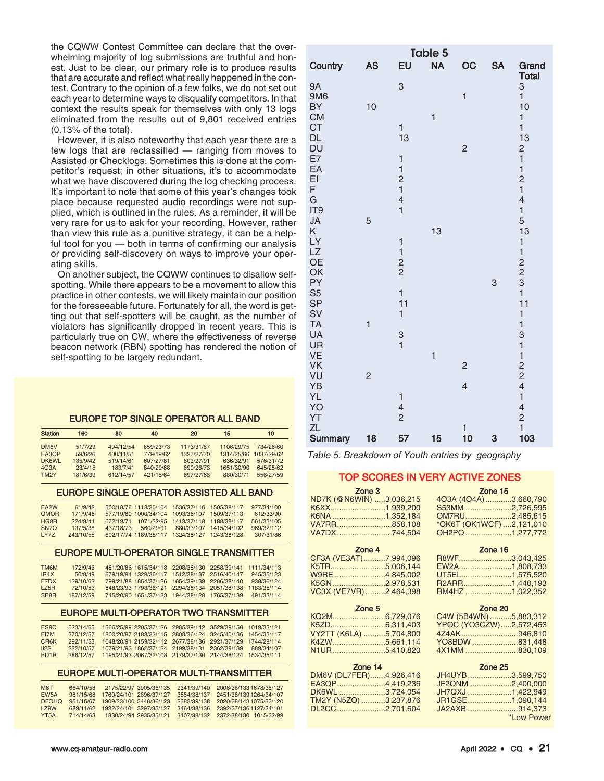the CQWW Contest Committee can declare that the overwhelming majority of log submissions are truthful and honest. Just to be clear, our primary role is to produce results that are accurate and reflect what really happened in the contest. Contrary to the opinion of a few folks, we do not set out each year to determine ways to disqualify competitors. In that context the results speak for themselves with only 13 logs eliminated from the results out of 9,801 received entries (0.13% of the total).

However, it is also noteworthy that each year there are a few logs that are reclassified — ranging from moves to Assisted or Checklogs. Sometimes this is done at the competitor's request; in other situations, it's to accommodate what we have discovered during the log checking process. It's important to note that some of this year's changes took place because requested audio recordings were not supplied, which is outlined in the rules. As a reminder, it will be very rare for us to ask for your recording. However, rather than view this rule as a punitive strategy, it can be a helpful tool for you — both in terms of confirming our analysis or providing self-discovery on ways to improve your operating skills.

On another subject, the CQWW continues to disallow selfspotting. While there appears to be a movement to allow this practice in other contests, we will likely maintain our position for the foreseeable future. Fortunately for all, the word is getting out that self-spotters will be caught, as the number of violators has significantly dropped in recent years. This is particularly true on CW, where the effectiveness of reverse beacon network (RBN) spotting has rendered the notion of self-spotting to be largely redundant.

#### EUROPE TOP SINGLE OPERATOR ALL BAND

| <b>Station</b>    | 160      | 80        | 40        | 20         | 15         | 10         |
|-------------------|----------|-----------|-----------|------------|------------|------------|
| DM6V              | 51/7/29  | 494/12/54 | 859/23/73 | 1173/31/87 | 1106/29/75 | 734/26/60  |
| EA3QP             | 59/6/26  | 400/11/51 | 779/19/62 | 1327/27/70 | 1314/25/66 | 1037/29/62 |
| <b>DK6WL</b>      | 135/9/42 | 519/14/61 | 607/27/81 | 803/27/91  | 636/32/91  | 576/31/72  |
| 4O <sub>3A</sub>  | 23/4/15  | 183/7/41  | 840/29/88 | 690/26/73  | 1651/30/90 | 645/25/62  |
| TM <sub>2</sub> Y | 181/6/39 | 612/14/57 | 421/15/64 | 697/27/68  | 880/30/71  | 556/27/59  |

#### EUROPE SINGLE OPERATOR ASSISTED ALL BAND

| FA <sub>2</sub> W | 61/9/42   |           |           | 500/18/76 1113/30/104 1536/37/116 1505/38/117 |                        | 977/34/100 |  |
|-------------------|-----------|-----------|-----------|-----------------------------------------------|------------------------|------------|--|
| <b>OMØR</b>       | 171/9/48  |           |           | 577/19/80 1000/34/104 1093/36/107 1509/37/113 |                        | 612/33/90  |  |
| <b>HG8R</b>       | 224/9/44  |           |           | 672/19/71 1071/32/95 1413/37/118 1188/38/117  |                        | 561/33/105 |  |
| SN7O              | 137/5/38  | 437/18/73 | 560/29/91 |                                               | 880/33/107 1415/34/102 | 969/32/112 |  |
| I Y77             | 243/10/55 |           |           | 602/17/74 1189/38/117 1324/38/127 1243/38/128 |                        | 307/31/86  |  |

#### EUROPE MULTI-OPERATOR SINGLE TRANSMITTER

| <b>MANT</b>            | 172/9/46  |  | 481/20/86 1615/34/118 2208/38/130 2258/39/141 1111/34/113 |            |  |
|------------------------|-----------|--|-----------------------------------------------------------|------------|--|
| IR4X                   | 50/8/49   |  | 679/19/94 1329/36/117 1512/38/137 2516/40/147             | 945/35/123 |  |
| F7DX                   | 129/10/62 |  | 799/21/88 1854/37/126 1654/39/139 2286/38/140             | 938/36/124 |  |
| 175 <sub>R</sub>       | 72/10/53  |  | 848/23/93 1793/36/121 2294/38/134 2051/38/138 1183/35/114 |            |  |
| <b>SP<sub>RR</sub></b> | 187/12/59 |  | 745/20/90 1651/37/123 1944/38/128 1765/37/139             | 491/33/114 |  |

#### EUROPE MULTI-OPERATOR TWO TRANSMITTER

| ES9C              | 523/14/65 |  | 1566/25/99 2205/37/126 2985/39/142 3529/39/150 1019/33/121                |  |  |
|-------------------|-----------|--|---------------------------------------------------------------------------|--|--|
| EI7M              | 370/12/57 |  | 1200/20/87 2183/33/115 2808/36/124 3245/40/136 1454/33/117                |  |  |
| CR <sub>6</sub> K | 292/11/53 |  | 1048/20/91 2159/32/112 2677/38/136 2921/37/129 1744/29/114                |  |  |
| II2S              | 222/10/57 |  | 1079/21/93 1862/37/124 2199/38/131 2362/39/139 889/34/107                 |  |  |
| ED <sub>1</sub> R |           |  | 286/12/57  1195/21/93  2067/32/108  2179/37/130  2144/38/124  1534/35/111 |  |  |
|                   |           |  |                                                                           |  |  |

#### EUROPE MULTI-OPERATOR MULTI-TRANSMITTER

| <b>M<sub>6</sub>T</b> | 664/10/58 |                                   | 2175/22/97 3905/36/135 | 2341/39/140 | 2008/38/133 1678/35/127             |
|-----------------------|-----------|-----------------------------------|------------------------|-------------|-------------------------------------|
| FW <sub>5</sub> A     | 981/15/68 | 1760/24/101 2696/37/127           |                        | 3554/38/137 | 2451/38/139 1264/34/107             |
| DEØHO.                |           | 951/15/67 1909/23/100 3448/36/123 |                        |             | 2383/39/138 2020/38/143 1075/33/120 |
| 179W                  | 689/11/62 | 1922/24/101 3297/35/127           |                        |             | 3464/38/136 2392/37/136 1127/34/101 |
| YT <sub>5</sub> A     | 714/14/63 |                                   | 1830/24/94 2935/35/121 |             | 3407/38/132 2372/38/130 1015/32/99  |

|                                                        |                |                                                                            | Table 5      |                          |           |                                                                            |
|--------------------------------------------------------|----------------|----------------------------------------------------------------------------|--------------|--------------------------|-----------|----------------------------------------------------------------------------|
| Country                                                | <b>AS</b>      | EU                                                                         | <b>NA</b>    | OC                       | <b>SA</b> | Grand                                                                      |
| <b>9A</b><br>9M6<br><b>BY</b>                          | 10             | 3                                                                          |              | $\mathbf{1}$             |           | <b>Total</b><br>3<br>$\mathbf{1}$<br>10                                    |
| <b>CM</b><br><b>CT</b><br><b>DL</b><br><b>DU</b><br>E7 |                | 1<br>13<br>$\mathbf{1}$                                                    | 1            | $\overline{c}$           |           | $\mathbf{1}$<br>$\mathbf{1}$<br>13<br>$\frac{2}{1}$                        |
| EA<br>EI<br>F<br>G                                     |                | $\mathbf{1}$<br>$\overline{c}$<br>$\mathbf{1}$<br>$\overline{\mathcal{L}}$ |              |                          |           | $\mathbf{1}$<br>$\frac{2}{1}$<br>$\overline{\mathcal{L}}$                  |
| IT <sub>9</sub><br>JA<br>Κ<br>LY                       | 5              | $\mathbf{1}$<br>$\mathbf{1}$                                               | 13           |                          |           | $\mathbf{1}$<br>5<br>13<br>$\mathbf{1}$                                    |
| <b>LZ</b><br><b>OE</b><br>OK<br>PY                     |                | $\mathbf{1}$<br>$\frac{2}{2}$                                              |              |                          | 3         | $\mathbf{1}$<br>$\begin{array}{c}\n 2 \\ 2 \\ 3 \\ 1\n \end{array}$        |
| S <sub>5</sub><br><b>SP</b><br>SV<br><b>TA</b>         | $\mathbf{1}$   | $\mathbf{1}$<br>11<br>$\mathbf{1}$                                         |              |                          |           | 11<br>$\mathbf{1}$<br>$\mathbf{1}$                                         |
| <b>UA</b><br>UR<br><b>VE</b><br><b>VK</b>              |                | $\frac{3}{1}$                                                              | $\mathbf{1}$ | $\overline{c}$           |           | 311224                                                                     |
| VU<br>YB<br><b>YL</b>                                  | $\overline{c}$ | $\mathbf{1}$                                                               |              | $\overline{\mathcal{L}}$ |           | $\mathbf{1}$                                                               |
| YO<br>YT<br>ZL<br>Summary                              | 18             | $\overline{4}$<br>$\overline{c}$<br>57                                     | 15           | 1<br>10                  | 3         | $\overline{\mathcal{L}}$<br>$\overline{\mathbf{c}}$<br>$\mathbf{1}$<br>103 |

Table 5. Breakdown of Youth entries by geography

#### TOP SCORES IN VERY ACTIVE ZONES

| Zone 3                  | Zone 15                             |
|-------------------------|-------------------------------------|
| ND7K (@N6WIN) 3,036,215 | 403A (404A)3,660,790                |
| K6XX1,939,200           | S53MM 2,726,595                     |
| K6NA 1,352,184          | OM7RU2,485,615                      |
| VA7RR858,108            | *OK6T (OK1WCF) 2,121,010            |
| VA7DX744,504            | OH2PQ 1,277,772                     |
| Zone 4                  | Zone 16                             |
| CF3A (VE3AT)7,994,096   | R8WF3,043,425                       |
| $VETD$ $E$ $NAC$ $111$  | $\Box M \Omega \Lambda$<br>1.000702 |

| Zone 5                 |  |  |  |  |
|------------------------|--|--|--|--|
| VC3X (VE7VR) 2,464,398 |  |  |  |  |
| K5GN2,978,531          |  |  |  |  |
| W9RE 4.845.002         |  |  |  |  |
| K5TR5,006,144          |  |  |  |  |

| KQ2M6.729.076          |  |
|------------------------|--|
|                        |  |
| VY2TT (K6LA) 5,704,800 |  |
| K4ZW5.661.114          |  |
| N1UR5,410,820          |  |
|                        |  |

| Zone 14                |  |
|------------------------|--|
| DM6V (DL7FER)4,926,416 |  |
| EA3QP4,419,236         |  |
| DK6WL 3.724.054        |  |
| TM2Y (N5ZO) 3,237,876  |  |
| DL2CC2,701,604         |  |
|                        |  |

| <u>Luisiv</u>   |  |  |  |  |  |
|-----------------|--|--|--|--|--|
| R8WF3.043.425   |  |  |  |  |  |
| EW2A1,808,733   |  |  |  |  |  |
| UT5EL1.575.520  |  |  |  |  |  |
| R2ARR1.440.193  |  |  |  |  |  |
| RM4HZ 1.022.352 |  |  |  |  |  |
|                 |  |  |  |  |  |
| Zone 20         |  |  |  |  |  |
|                 |  |  |  |  |  |

| C4W (5B4WN)5,883,312   |  |
|------------------------|--|
| YPØC (YO3CZW)2,572,453 |  |
| 4Z4AK946.810           |  |
| YO8BDW 831,448         |  |
| 4X1MM 830.109          |  |
|                        |  |

| Zone 25          |            |
|------------------|------------|
| JH4UYB 3.599.750 |            |
| JF2QNM 2.400.000 |            |
| JH7QXJ 1.422.949 |            |
| JR1GSE1.090.144  |            |
| JA2AXB 914.373   |            |
|                  | *Low Power |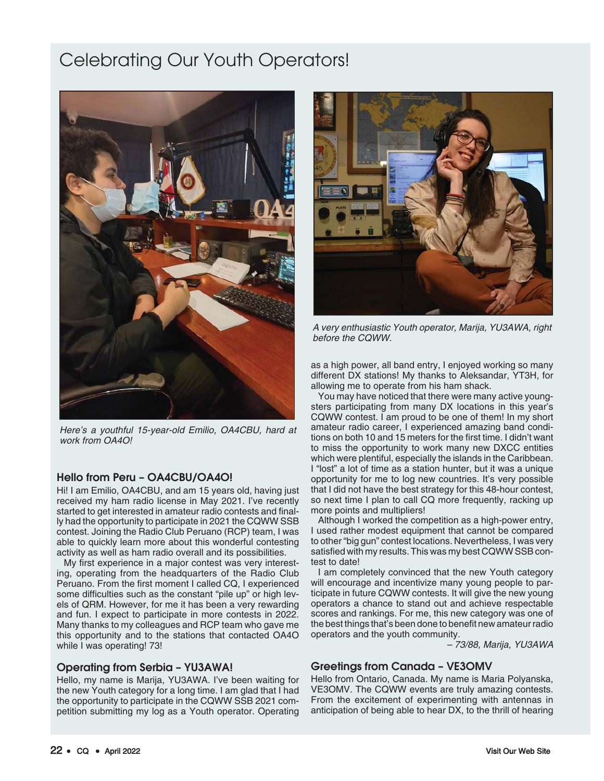# Celebrating Our Youth Operators!



Here's a youthful 15-year-old Emilio, OA4CBU, hard at work from OA4O!

# Hello from Peru – OA4CBU/OA4O!

Hi! I am Emilio, OA4CBU, and am 15 years old, having just received my ham radio license in May 2021. I've recently started to get interested in amateur radio contests and finally had the opportunity to participate in 2021 the CQWW SSB contest. Joining the Radio Club Peruano (RCP) team, I was able to quickly learn more about this wonderful contesting activity as well as ham radio overall and its possibilities.

My first experience in a major contest was very interesting, operating from the headquarters of the Radio Club Peruano. From the first moment I called CQ, I experienced some difficulties such as the constant "pile up" or high levels of QRM. However, for me it has been a very rewarding and fun. I expect to participate in more contests in 2022. Many thanks to my colleagues and RCP team who gave me this opportunity and to the stations that contacted OA4O while I was operating! 73!

# Operating from Serbia – YU3AWA!

Hello, my name is Marija, YU3AWA. I've been waiting for the new Youth category for a long time. I am glad that I had the opportunity to participate in the CQWW SSB 2021 competition submitting my log as a Youth operator. Operating



A very enthusiastic Youth operator, Marija, YU3AWA, right before the CQWW.

as a high power, all band entry, I enjoyed working so many different DX stations! My thanks to Aleksandar, YT3H, for allowing me to operate from his ham shack.

You may have noticed that there were many active youngsters participating from many DX locations in this year's CQWW contest. I am proud to be one of them! In my short amateur radio career, I experienced amazing band conditions on both 10 and 15 meters for the first time. I didn't want to miss the opportunity to work many new DXCC entities which were plentiful, especially the islands in the Caribbean. I "lost" a lot of time as a station hunter, but it was a unique opportunity for me to log new countries. It's very possible that I did not have the best strategy for this 48-hour contest, so next time I plan to call CQ more frequently, racking up more points and multipliers!

Although I worked the competition as a high-power entry, I used rather modest equipment that cannot be compared to other "big gun" contest locations. Nevertheless, I was very satisfied with my results. This was my best CQWW SSB contest to date!

I am completely convinced that the new Youth category will encourage and incentivize many young people to participate in future CQWW contests. It will give the new young operators a chance to stand out and achieve respectable scores and rankings. For me, this new category was one of the best things that's been done to benefit new amateur radio operators and the youth community.

– 73/88, Marija, YU3AWA

# Greetings from Canada – VE3OMV

Hello from Ontario, Canada. My name is Maria Polyanska, VE3OMV. The CQWW events are truly amazing contests. From the excitement of experimenting with antennas in anticipation of being able to hear DX, to the thrill of hearing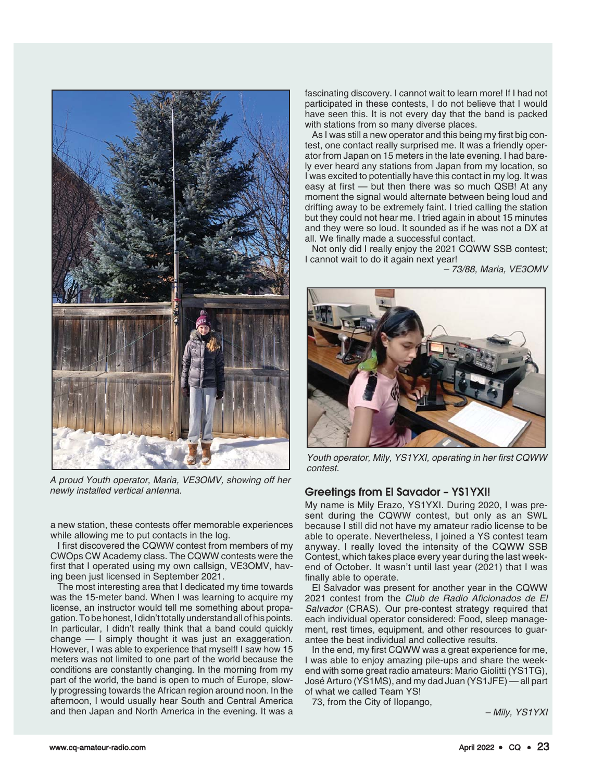

A proud Youth operator, Maria, VE3OMV, showing off her newly installed vertical antenna.

a new station, these contests offer memorable experiences while allowing me to put contacts in the log.

I first discovered the CQWW contest from members of my CWOps CW Academy class. The CQWW contests were the first that I operated using my own callsign, VE3OMV, having been just licensed in September 2021.

The most interesting area that I dedicated my time towards was the 15-meter band. When I was learning to acquire my license, an instructor would tell me something about propagation. To be honest, I didn't totally understand all of his points. In particular, I didn't really think that a band could quickly change — I simply thought it was just an exaggeration. However, I was able to experience that myself! I saw how 15 meters was not limited to one part of the world because the conditions are constantly changing. In the morning from my part of the world, the band is open to much of Europe, slowly progressing towards the African region around noon. In the afternoon, I would usually hear South and Central America and then Japan and North America in the evening. It was a

fascinating discovery. I cannot wait to learn more! If I had not participated in these contests, I do not believe that I would have seen this. It is not every day that the band is packed with stations from so many diverse places.

As I was still a new operator and this being my first big contest, one contact really surprised me. It was a friendly operator from Japan on 15 meters in the late evening. I had barely ever heard any stations from Japan from my location, so I was excited to potentially have this contact in my log. It was easy at first — but then there was so much QSB! At any moment the signal would alternate between being loud and drifting away to be extremely faint. I tried calling the station but they could not hear me. I tried again in about 15 minutes and they were so loud. It sounded as if he was not a DX at all. We finally made a successful contact.

Not only did I really enjoy the 2021 CQWW SSB contest; I cannot wait to do it again next year!

– 73/88, Maria, VE3OMV



Youth operator, Mily, YS1YXI, operating in her first CQWW contest.

# Greetings from El Savador – YS1YXI!

My name is Mily Erazo, YS1YXI. During 2020, I was present during the CQWW contest, but only as an SWL because I still did not have my amateur radio license to be able to operate. Nevertheless, I joined a YS contest team anyway. I really loved the intensity of the CQWW SSB Contest, which takes place every year during the last weekend of October. It wasn't until last year (2021) that I was finally able to operate.

El Salvador was present for another year in the CQWW 2021 contest from the Club de Radio Aficionados de El Salvador (CRAS). Our pre-contest strategy required that each individual operator considered: Food, sleep management, rest times, equipment, and other resources to guarantee the best individual and collective results.

In the end, my first CQWW was a great experience for me, I was able to enjoy amazing pile-ups and share the weekend with some great radio amateurs: Mario Giolitti (YS1TG), José Arturo (YS1MS), and my dad Juan (YS1JFE) — all part of what we called Team YS!

73, from the City of Ilopango,

– Mily, YS1YXI